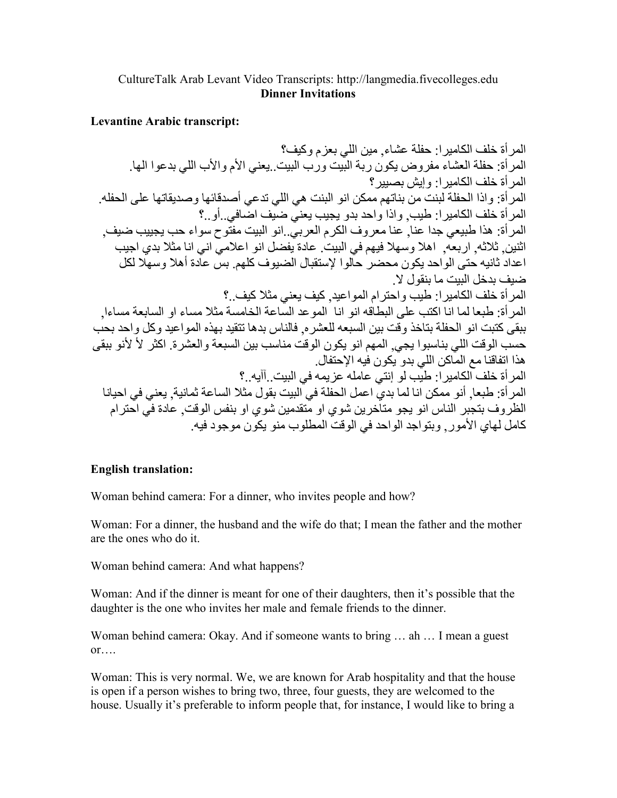## CultureTalk Arab Levant Video Transcripts: http://langmedia.fivecolleges.edu **Dinner Invitations**

## **Levantine Arabic transcript:**

المر أة خلف الكامير ا: حفلة عشاء. مين اللي بعز م وكيف؟ المرأة: حفلة العشاء مفروض يكون ربة البيت ورب البيت يعني الأم والأب اللي بدعوا الها. المر أة خلف الكامير ١: و إيش بصبير ؟ المر أة: و إذا الحفلة لبنت من بناتهم ممكن انو البنت هي اللي تدعى أصدقائها وصديقاتها على الحفله. المر أة خلف الكامير ا: طيب. و اذا و احد بدو يجيب يعنيّ ضبَّف اضَّافي. أو .؟ المر أة: هذا طبيعي جدا عنا ٍ عنا معر وف الكر م العربيِّ إنو البيت مفتَّوح سواء حب بجبيب ضبف ِ اثنين ِ ثلاثه ٍ اربعه ِ اهلا وسهلا فيهم في البيت ِ عادة يفضل انو اعلامي اني انا مثلا بدي اجيب .<br>اعداد ثانيه حتى الواحد يكون محضر حالوا لإستقبال الضبوف كلهم بس عادة أهلا وسهلا لكل ضيف بدخل البيت ما ينقول لا المرأة خلف الكاميرا: طيب واحترام المواعيد, كيف يعني مثلا كيف..؟ المر أة: طبعا لما انا اكتب على البطاقه انو انا الموعد الساعة الخامسة مثلا مساء او السابعة مساءا ٍ ببقي كتبت انو الحفلة بتاخذ وقت بين السبعه للعشر ه. فالناس بدها تتقيد بهذه المو اعيد وكل واحد بحب حسب الوقت اللي بناسبوا يجي ٍ المهم انو يكون الوقت مناسب بين السبعة والعشرة ِ اكثر لأ لأنو ببقى هذا اتفاقنا مع الماكن اللي بدو يكون فيه الإحتفال. المر أة خلف الكامير ا: طيب لو إنتي عامله عز يمه في البيت ِ آآيه ِ ؟ المر أة: طبعا, أنو ممكن انا لما بديِّ اعمل الحفلة في البيت بقول مثلا الساعة ثمانية, يعني في احيانا الظر وف بتجبر الناس انو يجو متاخرين شوى او متقدمين شوى او بنفس الوقت. عادة في احتر ام كامل لهاى الأمور٬ وبتواجد الواحد في الوقت المطلوب منو يكون موجود فيه.

## **English translation:**

Woman behind camera: For a dinner, who invites people and how?

Woman: For a dinner, the husband and the wife do that; I mean the father and the mother are the ones who do it.

Woman behind camera: And what happens?

Woman: And if the dinner is meant for one of their daughters, then it's possible that the daughter is the one who invites her male and female friends to the dinner.

Woman behind camera: Okay. And if someone wants to bring ... ah ... I mean a guest  $or \dots$ 

Woman: This is very normal. We, we are known for Arab hospitality and that the house is open if a person wishes to bring two, three, four guests, they are welcomed to the house. Usually it's preferable to inform people that, for instance, I would like to bring a